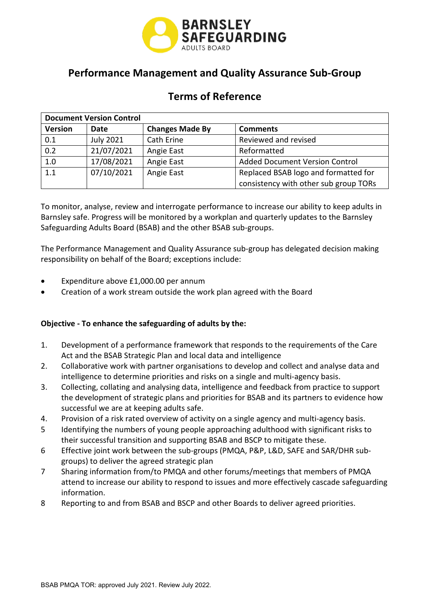

# **Performance Management and Quality Assurance Sub-Group**

# **Terms of Reference**

| <b>Document Version Control</b> |                  |                        |                                       |  |  |  |
|---------------------------------|------------------|------------------------|---------------------------------------|--|--|--|
| <b>Version</b>                  | Date             | <b>Changes Made By</b> | <b>Comments</b>                       |  |  |  |
| 0.1                             | <b>July 2021</b> | Cath Erine             | Reviewed and revised                  |  |  |  |
| 0.2                             | 21/07/2021       | Angie East             | Reformatted                           |  |  |  |
| 1.0                             | 17/08/2021       | Angie East             | <b>Added Document Version Control</b> |  |  |  |
| 1.1                             | 07/10/2021       | Angie East             | Replaced BSAB logo and formatted for  |  |  |  |
|                                 |                  |                        | consistency with other sub group TORs |  |  |  |

 To monitor, analyse, review and interrogate performance to increase our ability to keep adults in Barnsley safe. Progress will be monitored by a workplan and quarterly updates to the Barnsley Safeguarding Adults Board (BSAB) and the other BSAB sub-groups.

The Performance Management and Quality Assurance sub-group has delegated decision making responsibility on behalf of the Board; exceptions include:

- Expenditure above £[1,000.00](https://1,000.00) per annum
- Creation of a work stream outside the work plan agreed with the Board

## **Objective - To enhance the safeguarding of adults by the:**

- 1. Development of a performance framework that responds to the requirements of the Care Act and the BSAB Strategic Plan and local data and intelligence
- 2. Collaborative work with partner organisations to develop and collect and analyse data and intelligence to determine priorities and risks on a single and multi-agency basis.
- 3. Collecting, collating and analysing data, intelligence and feedback from practice to support the development of strategic plans and priorities for BSAB and its partners to evidence how successful we are at keeping adults safe.
- 4. Provision of a risk rated overview of activity on a single agency and multi-agency basis.
- 5 Identifying the numbers of young people approaching adulthood with significant risks to their successful transition and supporting BSAB and BSCP to mitigate these.
- 6 Effective joint work between the sub-groups (PMQA, P&P, L&D, SAFE and SAR/DHR subgroups) to deliver the agreed strategic plan
- 7 Sharing information from/to PMQA and other forums/meetings that members of PMQA attend to increase our ability to respond to issues and more effectively cascade safeguarding information.
- 8 Reporting to and from BSAB and BSCP and other Boards to deliver agreed priorities.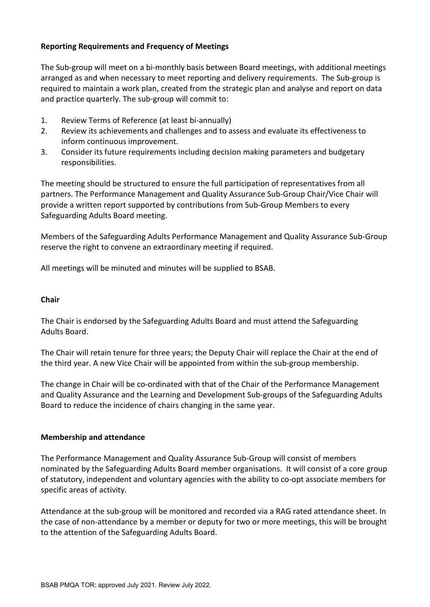## **Reporting Requirements and Frequency of Meetings**

The Sub-group will meet on a bi-monthly basis between Board meetings, with additional meetings arranged as and when necessary to meet reporting and delivery requirements. The Sub-group is required to maintain a work plan, created from the strategic plan and analyse and report on data and practice quarterly. The sub-group will commit to:

- 1. Review Terms of Reference (at least bi-annually)
- 2. Review its achievements and challenges and to assess and evaluate its effectiveness to inform continuous improvement.
- 3. Consider its future requirements including decision making parameters and budgetary responsibilities.

The meeting should be structured to ensure the full participation of representatives from all partners. The Performance Management and Quality Assurance Sub-Group Chair/Vice Chair will provide a written report supported by contributions from Sub-Group Members to every Safeguarding Adults Board meeting.

Members of the Safeguarding Adults Performance Management and Quality Assurance Sub-Group reserve the right to convene an extraordinary meeting if required.

All meetings will be minuted and minutes will be supplied to BSAB.

#### **Chair**

The Chair is endorsed by the Safeguarding Adults Board and must attend the Safeguarding Adults Board.

 The Chair will retain tenure for three years; the Deputy Chair will replace the Chair at the end of the third year. A new Vice Chair will be appointed from within the sub-group membership.

 The change in Chair will be co-ordinated with that of the Chair of the Performance Management Board to reduce the incidence of chairs changing in the same year. and Quality Assurance and the Learning and Development Sub-groups of the Safeguarding Adults

#### **Membership and attendance**

 of statutory, independent and voluntary agencies with the ability to co-opt associate members for The Performance Management and Quality Assurance Sub-Group will consist of members nominated by the Safeguarding Adults Board member organisations. It will consist of a core group specific areas of activity.

 the case of non-attendance by a member or deputy for two or more meetings, this will be brought to the attention of the Safeguarding Adults Board. Attendance at the sub-group will be monitored and recorded via a RAG rated attendance sheet. In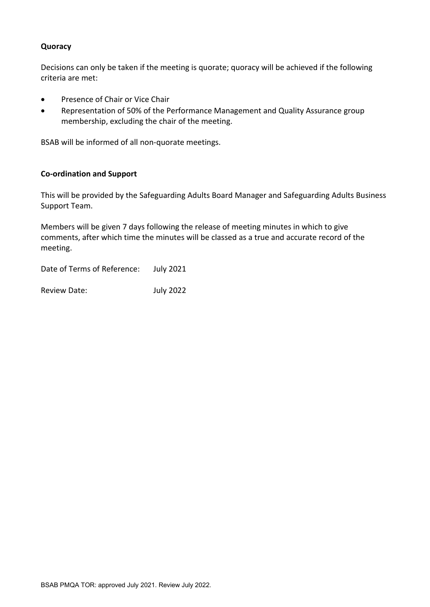### **Quoracy**

Decisions can only be taken if the meeting is quorate; quoracy will be achieved if the following criteria are met:

- Presence of Chair or Vice Chair
- Representation of 50% of the Performance Management and Quality Assurance group membership, excluding the chair of the meeting.

BSAB will be informed of all non-quorate meetings.

### **Co-ordination and Support**

This will be provided by the Safeguarding Adults Board Manager and Safeguarding Adults Business Support Team.

 comments, after which time the minutes will be classed as a true and accurate record of the Members will be given 7 days following the release of meeting minutes in which to give meeting.

Date of Terms of Reference: July 2021

Review Date: July 2022